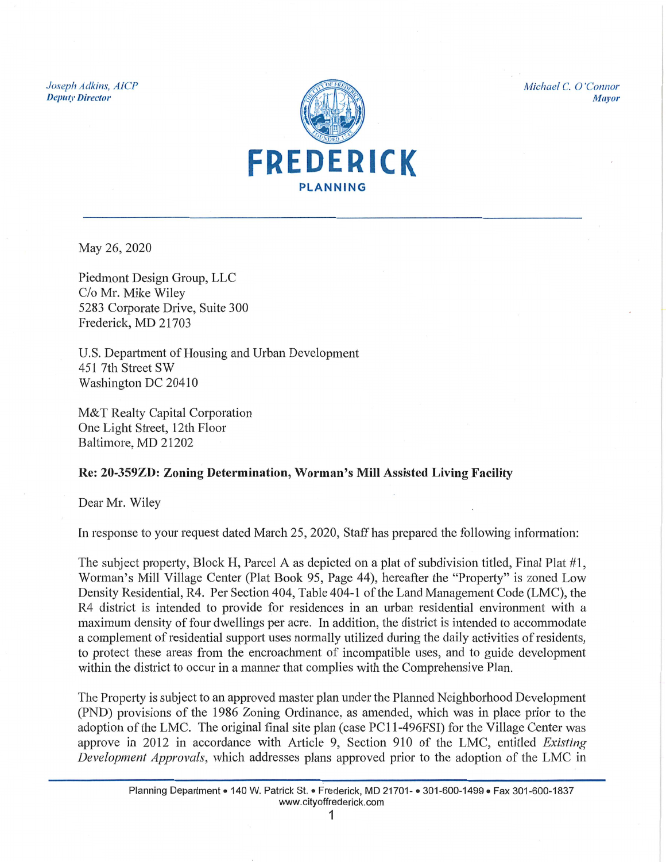Joseph Adkins, AICP **Deputy Director** 



Michael C. O'Connor **Mayor** 

May 26, 2020

Piedmont Design Group, LLC C/o Mr. Mike Wiley 5283 Corporate Drive, Suite 300 Frederick, MD 21703

U.S. Department of Housing and Urban Development 451 7th Street SW Washington DC 20410

M&T Realty Capital Corporation One Light Street, 12th Floor Baltimore, MD 21202

## Re: 20-359ZD: Zoning Determination, Worman's Mill Assisted Living Facility

Dear Mr. Wiley

In response to your request dated March 25, 2020, Staff has prepared the following information:

The subject property, Block H, Parcel A as depicted on a plat of subdivision titled, Final Plat #1, Worman's Mill Village Center (Plat Book 95, Page 44), hereafter the "Property" is zoned Low Density Residential, R4. Per Section 404, Table 404-1 of the Land Management Code (LMC), the R4 district is intended to provide for residences in an urban residential environment with a maximum density of four dwellings per acre. In addition, the district is intended to accommodate a complement of residential support uses normally utilized during the daily activities of residents, to protect these areas from the encroachment of incompatible uses, and to guide development within the district to occur in a manner that complies with the Comprehensive Plan.

The Property is subject to an approved master plan under the Planned Neighborhood Development (PND) provisions of the 1986 Zoning Ordinance, as amended, which was in place prior to the adoption of the LMC. The original final site plan (case PC11-496FSI) for the Village Center was approve in 2012 in accordance with Article 9, Section 910 of the LMC, entitled Existing *Development Approvals*, which addresses plans approved prior to the adoption of the LMC in

1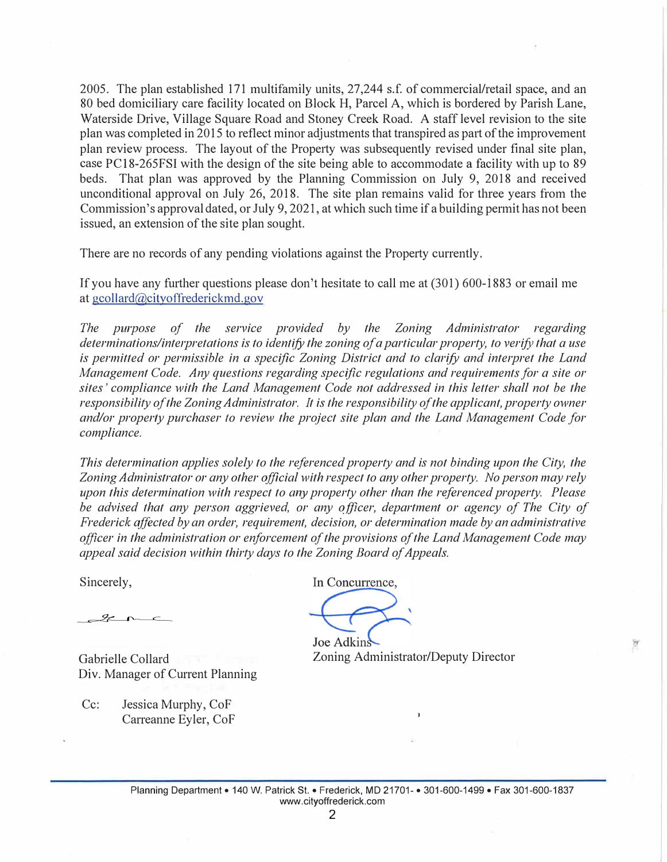2005. The plan established 171 multifamily units, 27,244 s.f. of commercial/retail space, and an 80 bed domiciliary care facility located on Block H, Parcel A, which is bordered by Parish Lane, Waterside Drive, Village Square Road and Stoney Creek Road. A staff level revision to the site plan was completed in 2015 to reflect minor adjustments that transpired as part of the improvement plan review process. The layout of the Property was subsequently revised under final site plan, case PC 18-265FSI with the design of the site being able to accommodate a facility with up to 89 beds. That plan was approved by the Planning Commission on July 9, 2018 and received unconditional approval on July 26, 2018. The site plan remains valid for three years from the Commission's approval dated, or July 9, 2021, at which such time if a building permit has not been issued, an extension of the site plan sought.

There are no records of any pending violations against the Property currently.

If you have any further questions please don't hesitate to call me at (301) 600-1883 or email me at gcollard@cityoffrederickmd.gov

*The pwpose of the service provided by the Zoning Administrator regarding determinations/interpretations is to identify the zoning of a particular property, to verify that a use is permitted or permissible in a specific Zoning District and to clarify and interpret the Land Management Code. Any questions regarding specific regulations and requirements for a site or sites' compliance with the Land Management Code not addressed in this letter shall not be the responsibility of the Zoning Administrator. It is the responsibility of the applicant, property owner and/or property purchaser to review the project site plan and the Land Management Code for compliance.* 

*This determination applies solely to the referenced property and is not binding upon the City, the Zoning Administrator or any other official with respect to any other property. No person may rely upon this determination with respect to any property other than the referenced property. Please*  be advised that any person aggrieved, or any officer, department or agency of The City of *Frederick affected by an order, requirement, decision, or determination made by an administrative officer in the administration or enforcement of the provisions of the Land Management Code may appeal said decision within thirty days to the Zoning Board of Appeals.* 

Sincerely,

 $9 - 0$ 

Gabrielle Collard Div. Manager of Current Planning

Cc: Jessica Murphy, CoF Carreanne Eyler, CoF In Concurrence.

Joe Adkins Zoning Administrator/Deputy Director